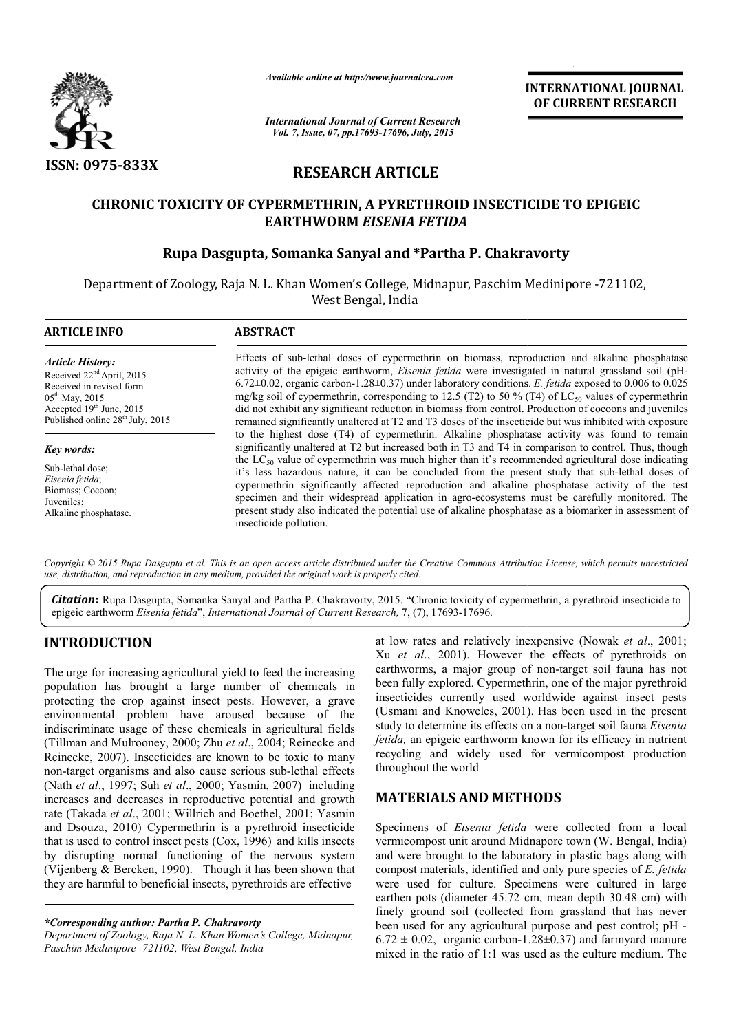

*Available online at http://www.journalcra.com*

*International Journal of Current Research Vol. 7, Issue, 07, pp.17693-17696, July, 2015*

**INTERNATIONAL INTERNATIONAL JOURNAL OF CURRENT RESEARCH** 

# **RESEARCH ARTICLE**

# **CHRONIC TOXICITY OF CYPERMETHRIN, A PYRETHROID INSECTICIDE TO EPIGEIC OF CYPERMETHRIN, PYRETHROID ChakravortyEARTHWORM** *EISENIA FETIDA*

# **Rupa Dasgupta, Somanka Sanyal and \*Partha P. Chakravorty**

Department of Zoology, Raja N. L. Khan Women's College, Midnapur, Paschim Medinipore -721102, West Bengal, India

| <b>ARTICLE INFO</b>                                                                                                                                                                             | <b>ABSTRACT</b>                                                                                                                                                                                                                                                                                                                                                                                                                                                                                                                                                                                                                                                                                                                                                |  |  |
|-------------------------------------------------------------------------------------------------------------------------------------------------------------------------------------------------|----------------------------------------------------------------------------------------------------------------------------------------------------------------------------------------------------------------------------------------------------------------------------------------------------------------------------------------------------------------------------------------------------------------------------------------------------------------------------------------------------------------------------------------------------------------------------------------------------------------------------------------------------------------------------------------------------------------------------------------------------------------|--|--|
| <b>Article History:</b><br>Received 22 <sup>nd</sup> April, 2015<br>Received in revised form<br>$05^{th}$ May, 2015<br>Accepted 19th June, 2015<br>Published online 28 <sup>th</sup> July, 2015 | Effects of sub-lethal doses of cypermethrin on biomass, reproduction and alkaline phosphatase<br>activity of the epigeic earthworm, <i>Eisenia fetida</i> were investigated in natural grassland soil (pH-<br>$6.72\pm0.02$ , organic carbon-1.28 $\pm$ 0.37) under laboratory conditions. E. fetida exposed to 0.006 to 0.025<br>mg/kg soil of cypermethrin, corresponding to 12.5 (T2) to 50 % (T4) of LC <sub>50</sub> values of cypermethrin<br>did not exhibit any significant reduction in biomass from control. Production of cocoons and juveniles<br>remained significantly unaltered at T2 and T3 doses of the insecticide but was inhibited with exposure                                                                                           |  |  |
| Key words:<br>Sub-lethal dose:<br>Eisenia fetida;<br>Biomass; Cocoon;<br>Juveniles:<br>Alkaline phosphatase.                                                                                    | to the highest dose (T4) of cypermethrin. Alkaline phosphatase activity was found to remain<br>significantly unaltered at T2 but increased both in T3 and T4 in comparison to control. Thus, though<br>the LC <sub>50</sub> value of cypermethrin was much higher than it's recommended agricultural dose indicating<br>it's less hazardous nature, it can be concluded from the present study that sub-lethal doses of<br>cypermethrin significantly affected reproduction and alkaline phosphatase activity of the test<br>specimen and their widespread application in agro-ecosystems must be carefully monitored. The<br>present study also indicated the potential use of alkaline phosphatase as a biomarker in assessment of<br>insecticide pollution. |  |  |

*Copyright © 2015 Rupa Dasgupta et al. This is an open access article distributed under the Creative Commons Att Attribution License, which ribution License, permits unrestricted use, distribution, and reproduction in any medium, provided the original work is properly cited.*

Citation: Rupa Dasgupta, Somanka Sanyal and Partha P. Chakravorty, 2015. "Chronic toxicity of cypermethrin, a pyrethroid insecticide to epigeic earthworm *Eisenia fetida*", *International Journal of Current Research,*  7, (7), 17693-17696.

# **INTRODUCTION**

The urge for increasing agricultural yield to feed the increasing population has brought a large number of chemicals in protecting the crop against insect pests. However, a grave environmental problem have aroused because of the indiscriminate usage of these chemicals in agricultural fields (Tillman and Mulrooney, 2000; Zhu *et al*., 2004; Reinecke and Reinecke, 2007). Insecticides are known to be toxic to many non-target organisms and also cause serious sub (Nath *et al*., 1997; Suh *et al*., 2000; Yasmin, 2007) including increases and decreases in reproductive potential and growth rate (Takada *et al*., 2001; Willrich and Boethel, 2001; Yasmin and Dsouza, 2010) Cypermethrin is a pyrethroid insecticide that is used to control insect pests (Cox, 1996) and kills insects by disrupting normal functioning of the nervous system (Vijenberg & Bercken, 1990). Though it has been shown that they are harmful to beneficial insects, pyrethroids are effective scriminate usage of these chemicals in agricultural fields<br>man and Mulrooney, 2000; Zhu *et al.*, 2004; Reinecke and<br>ecke, 2007). Insecticides are known to be toxic to many<br>target organisms and also cause serious sub-letha

*\*Corresponding author: Partha P. Chakravorty*

*Department of Zoology, Raja N. L. Khan Women's College, Midnapur, Paschim Medinipore -721102, West Bengal, India*

at low rates and relatively inexpensive (Nowak et al., 2001; Xu *et al*., 2001). However the effects of pyrethroids on Xu et al., 2001). However the effects of pyrethroids on earthworms, a major group of non-target soil fauna has not been fully explored. Cypermethrin, one of the major pyrethroid insecticides currently used worldwide against insect pests (Usmani and Knoweles, 2001). Has been used in the present study to determine its effects on a non-target soil fauna *Eisenia fetida,* an epigeic earthworm known for its efficacy in nutrient fetida, an epigeic earthworm known for its efficacy in nutrient recycling and widely used for vermicompost production throughout the world been fully explored. Cypermethrin, one of the major pyrethroid insecticides currently used worldwide against insect pests (Usmani and Knoweles, 2001). Has been used in the present

# **MATERIALS AND METHOD METHODS**

Specimens of *Eisenia fetida* were collected from a local vermicompost unit around Midnapore town (W. Bengal, India) and were brought to the laboratory in plastic bags along with vermicompost unit around Midnapore town (W. Bengal, India) and were brought to the laboratory in plastic bags along with compost materials, identified and only pure species of *E. fetida* were used for culture. Specimens were cultured in large earthen pots (diameter 45.72 cm, mean depth 30.48 cm) with finely ground soil (collected from grassland that has never been used for any agricultural purpose and pest control; pH  $6.72 \pm 0.02$ , organic carbon-1.28 $\pm$ 0.37) and farmyard manure mixed in the ratio of  $1:1$  was used as the culture medium. The used for culture. Specimens were cultured in large<br>en pots (diameter 45.72 cm, mean depth 30.48 cm) with<br>ground soil (collected from grassland that has never<br>used for any agricultural purpose and pest control; pH -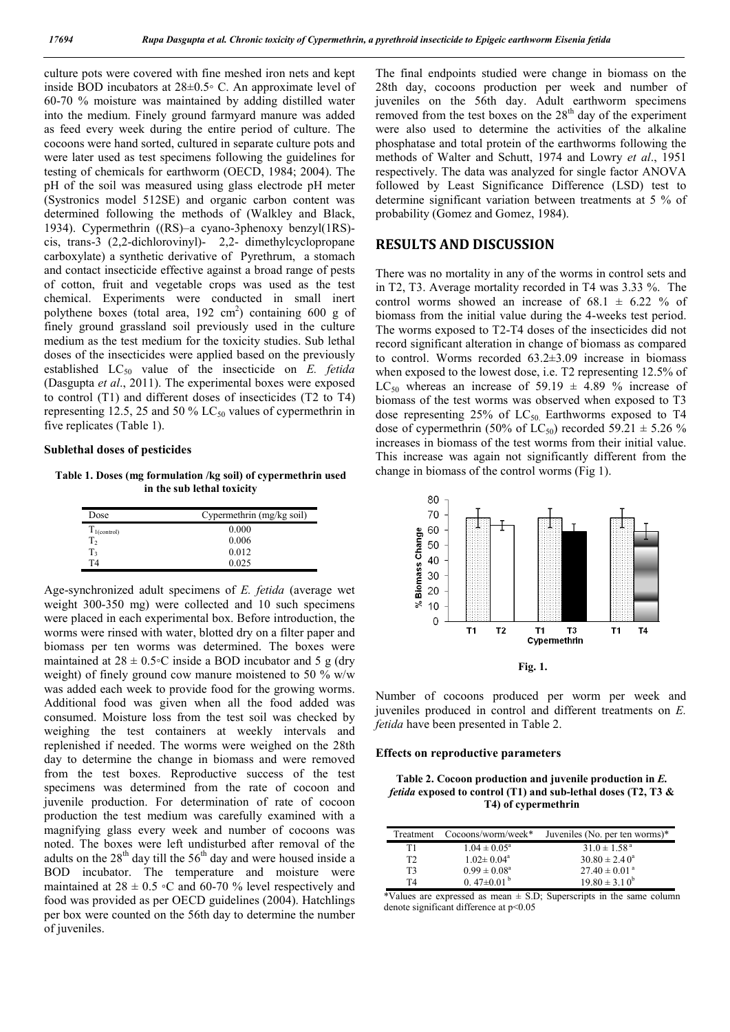culture pots were covered with fine meshed iron nets and kept inside BOD incubators at 28±0.5◦ C. An approximate level of 60-70 % moisture was maintained by adding distilled water into the medium. Finely ground farmyard manure was added as feed every week during the entire period of culture. The cocoons were hand sorted, cultured in separate culture pots and were later used as test specimens following the guidelines for testing of chemicals for earthworm (OECD, 1984; 2004). The pH of the soil was measured using glass electrode pH meter (Systronics model 512SE) and organic carbon content was determined following the methods of (Walkley and Black, 1934). Cypermethrin ((RS)–a cyano-3phenoxy benzyl(1RS) cis, trans-3 (2,2-dichlorovinyl)- 2,2- dimethylcyclopropane carboxylate) a synthetic derivative of Pyrethrum, a stomach and contact insecticide effective against a broad range of pests of cotton, fruit and vegetable crops was used as the test chemical. Experiments were conducted in small inert polythene boxes (total area,  $192 \text{ cm}^2$ ) containing 600 g of finely ground grassland soil previously used in the culture medium as the test medium for the toxicity studies. Sub lethal doses of the insecticides were applied based on the previously established LC50 value of the insecticide on *E. fetida* (Dasgupta *et al*., 2011). The experimental boxes were exposed to control (T1) and different doses of insecticides (T2 to T4) representing 12.5, 25 and 50 %  $LC_{50}$  values of cypermethrin in five replicates (Table 1).

## **Sublethal doses of pesticides**

**Table 1. Doses (mg formulation /kg soil) of cypermethrin used in the sub lethal toxicity**

| Dose             | Cypermethrin (mg/kg soil) |  |
|------------------|---------------------------|--|
| $T_{1(control)}$ | 0.000                     |  |
| T <sub>2</sub>   | 0.006                     |  |
| $T_3$<br>T4      | 0.012                     |  |
|                  | 0.025                     |  |

Age-synchronized adult specimens of *E. fetida* (average wet weight 300-350 mg) were collected and 10 such specimens were placed in each experimental box. Before introduction, the worms were rinsed with water, blotted dry on a filter paper and biomass per ten worms was determined. The boxes were maintained at  $28 \pm 0.5$ <sup>o</sup>C inside a BOD incubator and 5 g (dry weight) of finely ground cow manure moistened to 50 % w/w was added each week to provide food for the growing worms. Additional food was given when all the food added was consumed. Moisture loss from the test soil was checked by weighing the test containers at weekly intervals and replenished if needed. The worms were weighed on the 28th day to determine the change in biomass and were removed from the test boxes. Reproductive success of the test specimens was determined from the rate of cocoon and juvenile production. For determination of rate of cocoon production the test medium was carefully examined with a magnifying glass every week and number of cocoons was noted. The boxes were left undisturbed after removal of the adults on the  $28<sup>th</sup>$  day till the  $56<sup>th</sup>$  day and were housed inside a BOD incubator. The temperature and moisture were maintained at  $28 \pm 0.5$  ∘C and 60-70 % level respectively and food was provided as per OECD guidelines (2004). Hatchlings per box were counted on the 56th day to determine the number of juveniles.

The final endpoints studied were change in biomass on the 28th day, cocoons production per week and number of juveniles on the 56th day. Adult earthworm specimens removed from the test boxes on the  $28<sup>th</sup>$  day of the experiment were also used to determine the activities of the alkaline phosphatase and total protein of the earthworms following the methods of Walter and Schutt, 1974 and Lowry *et al*., 1951 respectively. The data was analyzed for single factor ANOVA followed by Least Significance Difference (LSD) test to determine significant variation between treatments at 5 % of probability (Gomez and Gomez, 1984).

## **RESULTS AND DISCUSSION**

There was no mortality in any of the worms in control sets and in T2, T3. Average mortality recorded in T4 was 3.33 %. The control worms showed an increase of  $68.1 \pm 6.22$  % of biomass from the initial value during the 4-weeks test period. The worms exposed to T2-T4 doses of the insecticides did not record significant alteration in change of biomass as compared to control. Worms recorded 63.2±3.09 increase in biomass when exposed to the lowest dose, i.e. T2 representing 12.5% of LC<sub>50</sub> whereas an increase of 59.19  $\pm$  4.89 % increase of biomass of the test worms was observed when exposed to T3 dose representing  $25\%$  of  $LC_{50}$ . Earthworms exposed to T4 dose of cypermethrin (50% of  $LC_{50}$ ) recorded 59.21  $\pm$  5.26 % increases in biomass of the test worms from their initial value. This increase was again not significantly different from the change in biomass of the control worms (Fig 1).



**Fig. 1.**

Number of cocoons produced per worm per week and juveniles produced in control and different treatments on *E. fetida* have been presented in Table 2.

### **Effects on reproductive parameters**

**Table 2. Cocoon production and juvenile production in** *E. fetida* **exposed to control (T1) and sub-lethal doses (T2, T3 & T4) of cypermethrin**

| Treatment      | Cocoons/worm/week*         | Juveniles (No. per ten worms)* |
|----------------|----------------------------|--------------------------------|
| T1             | $1.04 \pm 0.05^{\circ}$    | $31.0 \pm 1.58$ <sup>a</sup>   |
| T <sub>2</sub> | $1.02 \pm 0.04^a$          | $30.80 \pm 2.40^a$             |
| T <sub>3</sub> | $0.99 \pm 0.08^{\text{a}}$ | $27.40 \pm 0.01$ <sup>a</sup>  |
| T4             | 0.47 $\pm$ 0.01 $^{\rm b}$ | $19.80 \pm 3.10^b$             |

\*Values are expressed as mean  $\pm$  S.D; Superscripts in the same column denote significant difference at p<0.05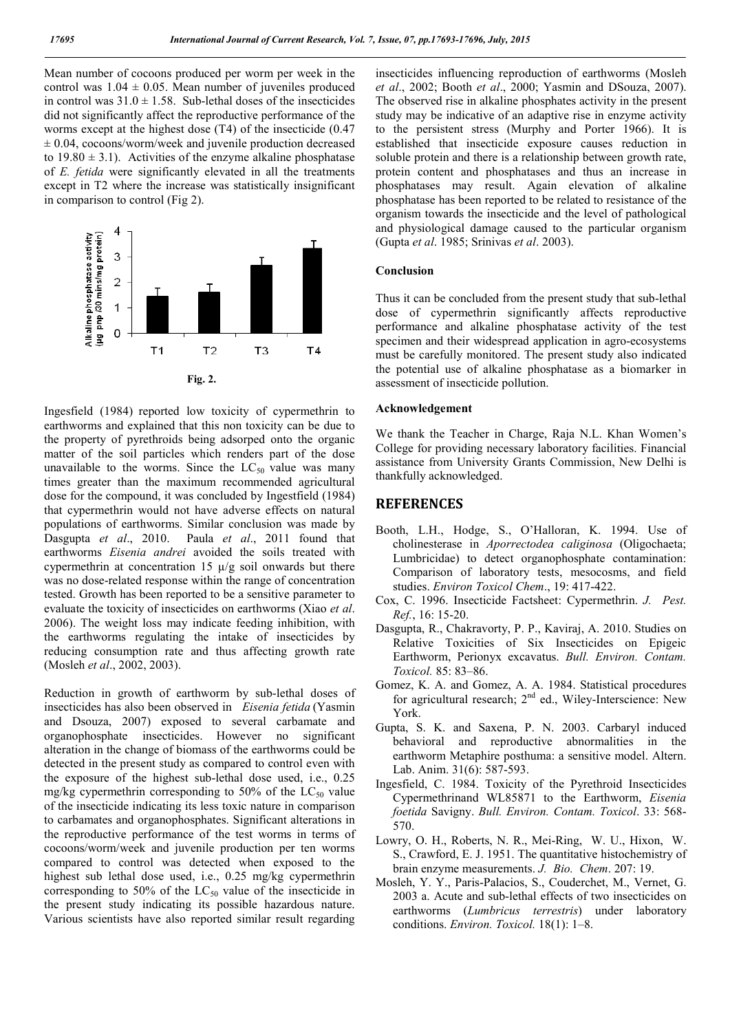Mean number of cocoons produced per worm per week in the control was  $1.04 \pm 0.05$ . Mean number of juveniles produced in control was  $31.0 \pm 1.58$ . Sub-lethal doses of the insecticides did not significantly affect the reproductive performance of the worms except at the highest dose (T4) of the insecticide (0.47  $\pm 0.04$ , cocoons/worm/week and juvenile production decreased to  $19.80 \pm 3.1$ ). Activities of the enzyme alkaline phosphatase of *E. fetida* were significantly elevated in all the treatments except in T2 where the increase was statistically insignificant in comparison to control (Fig 2).



Ingesfield (1984) reported low toxicity of cypermethrin to earthworms and explained that this non toxicity can be due to the property of pyrethroids being adsorped onto the organic matter of the soil particles which renders part of the dose unavailable to the worms. Since the  $LC_{50}$  value was many times greater than the maximum recommended agricultural dose for the compound, it was concluded by Ingestfield (1984) that cypermethrin would not have adverse effects on natural populations of earthworms. Similar conclusion was made by Dasgupta *et al*., 2010. Paula *et al*., 2011 found that earthworms *Eisenia andrei* avoided the soils treated with cypermethrin at concentration 15  $\mu$ /g soil onwards but there was no dose-related response within the range of concentration tested. Growth has been reported to be a sensitive parameter to evaluate the toxicity of insecticides on earthworms (Xiao *et al*. 2006). The weight loss may indicate feeding inhibition, with the earthworms regulating the intake of insecticides by reducing consumption rate and thus affecting growth rate (Mosleh *et al*., 2002, 2003).

Reduction in growth of earthworm by sub-lethal doses of insecticides has also been observed in *Eisenia fetida* (Yasmin and Dsouza, 2007) exposed to several carbamate and organophosphate insecticides. However no significant alteration in the change of biomass of the earthworms could be detected in the present study as compared to control even with the exposure of the highest sub-lethal dose used, i.e., 0.25 mg/kg cypermethrin corresponding to 50% of the  $LC_{50}$  value of the insecticide indicating its less toxic nature in comparison to carbamates and organophosphates. Significant alterations in the reproductive performance of the test worms in terms of cocoons/worm/week and juvenile production per ten worms compared to control was detected when exposed to the highest sub lethal dose used, i.e., 0.25 mg/kg cypermethrin corresponding to 50% of the  $LC_{50}$  value of the insecticide in the present study indicating its possible hazardous nature. Various scientists have also reported similar result regarding insecticides influencing reproduction of earthworms (Mosleh *et al*., 2002; Booth *et al*., 2000; Yasmin and DSouza, 2007). The observed rise in alkaline phosphates activity in the present study may be indicative of an adaptive rise in enzyme activity to the persistent stress (Murphy and Porter 1966). It is established that insecticide exposure causes reduction in soluble protein and there is a relationship between growth rate, protein content and phosphatases and thus an increase in phosphatases may result. Again elevation of alkaline phosphatase has been reported to be related to resistance of the organism towards the insecticide and the level of pathological and physiological damage caused to the particular organism (Gupta *et al*. 1985; Srinivas *et al*. 2003).

#### **Conclusion**

Thus it can be concluded from the present study that sub-lethal dose of cypermethrin significantly affects reproductive performance and alkaline phosphatase activity of the test specimen and their widespread application in agro-ecosystems must be carefully monitored. The present study also indicated the potential use of alkaline phosphatase as a biomarker in assessment of insecticide pollution.

## **Acknowledgement**

We thank the Teacher in Charge, Raja N.L. Khan Women's College for providing necessary laboratory facilities. Financial assistance from University Grants Commission, New Delhi is thankfully acknowledged.

# **REFERENCES**

- Booth, L.H., Hodge, S., O'Halloran, K. 1994. Use of cholinesterase in *Aporrectodea caliginosa* (Oligochaeta; Lumbricidae) to detect organophosphate contamination: Comparison of laboratory tests, mesocosms, and field studies. *Environ Toxicol Chem*., 19: 417-422.
- Cox, C. 1996. Insecticide Factsheet: Cypermethrin. *J. Pest. Ref.*, 16: 15-20.
- Dasgupta, R., Chakravorty, P. P., Kaviraj, A. 2010. Studies on Relative Toxicities of Six Insecticides on Epigeic Earthworm, Perionyx excavatus. *Bull. Environ. Contam. Toxicol.* 85: 83–86.
- Gomez, K. A. and Gomez, A. A. 1984. Statistical procedures for agricultural research;  $2<sup>nd</sup>$  ed., Wiley-Interscience: New York.
- Gupta, S. K. and Saxena, P. N. 2003. Carbaryl induced behavioral and reproductive abnormalities in the earthworm Metaphire posthuma: a sensitive model. Altern. Lab. Anim. 31(6): 587-593.
- Ingesfield, C. 1984. Toxicity of the Pyrethroid Insecticides Cypermethrinand WL85871 to the Earthworm, *Eisenia foetida* Savigny. *Bull. Environ. Contam. Toxicol*. 33: 568- 570.
- Lowry, O. H., Roberts, N. R., Mei-Ring, W. U., Hixon, W. S., Crawford, E. J. 1951. The quantitative histochemistry of brain enzyme measurements. *J. Bio. Chem*. 207: 19.
- Mosleh, Y. Y., Paris-Palacios, S., Couderchet, M., Vernet, G. 2003 a. Acute and sub-lethal effects of two insecticides on earthworms (*Lumbricus terrestris*) under laboratory conditions. *Environ. Toxicol.* 18(1): 1–8.